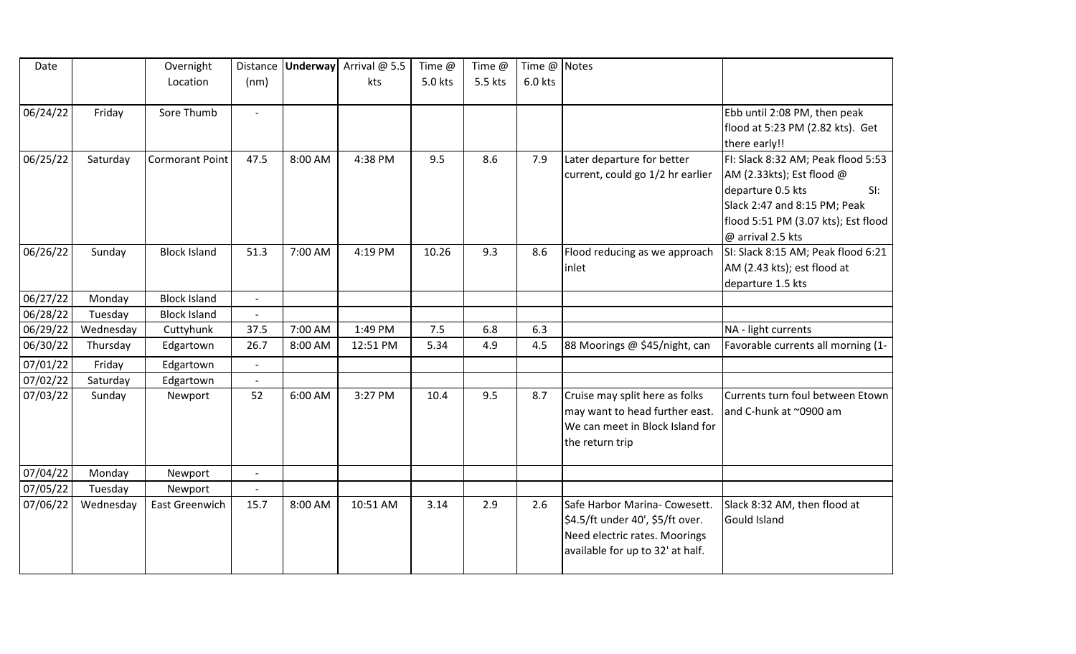| Date     |           | Overnight              | Distance                 |         | <b>Underway</b> Arrival @ 5.5 | Time @  | Time @  | Time @ Notes |                                  |                                     |
|----------|-----------|------------------------|--------------------------|---------|-------------------------------|---------|---------|--------------|----------------------------------|-------------------------------------|
|          |           | Location               | (nm)                     |         | kts                           | 5.0 kts | 5.5 kts | 6.0 kts      |                                  |                                     |
|          |           |                        |                          |         |                               |         |         |              |                                  |                                     |
| 06/24/22 | Friday    | Sore Thumb             |                          |         |                               |         |         |              |                                  | Ebb until 2:08 PM, then peak        |
|          |           |                        |                          |         |                               |         |         |              |                                  | flood at 5:23 PM (2.82 kts). Get    |
|          |           |                        |                          |         |                               |         |         |              |                                  | there early!!                       |
| 06/25/22 | Saturday  | <b>Cormorant Point</b> | 47.5                     | 8:00 AM | 4:38 PM                       | 9.5     | 8.6     | 7.9          | Later departure for better       | FI: Slack 8:32 AM; Peak flood 5:53  |
|          |           |                        |                          |         |                               |         |         |              | current, could go 1/2 hr earlier | $AM$ (2.33kts); Est flood $@$       |
|          |           |                        |                          |         |                               |         |         |              |                                  | departure 0.5 kts<br>SI:            |
|          |           |                        |                          |         |                               |         |         |              |                                  | Slack 2:47 and 8:15 PM; Peak        |
|          |           |                        |                          |         |                               |         |         |              |                                  | flood 5:51 PM (3.07 kts); Est flood |
|          |           |                        |                          |         |                               |         |         |              |                                  | @ arrival 2.5 kts                   |
| 06/26/22 | Sunday    | <b>Block Island</b>    | 51.3                     | 7:00 AM | 4:19 PM                       | 10.26   | 9.3     | 8.6          | Flood reducing as we approach    | SI: Slack 8:15 AM; Peak flood 6:21  |
|          |           |                        |                          |         |                               |         |         |              | linlet                           | AM (2.43 kts); est flood at         |
|          |           |                        |                          |         |                               |         |         |              |                                  | departure 1.5 kts                   |
| 06/27/22 | Monday    | <b>Block Island</b>    | $\overline{a}$           |         |                               |         |         |              |                                  |                                     |
| 06/28/22 | Tuesday   | <b>Block Island</b>    |                          |         |                               |         |         |              |                                  |                                     |
| 06/29/22 | Wednesday | Cuttyhunk              | 37.5                     | 7:00 AM | 1:49 PM                       | 7.5     | 6.8     | 6.3          |                                  | NA - light currents                 |
| 06/30/22 | Thursday  | Edgartown              | 26.7                     | 8:00 AM | 12:51 PM                      | 5.34    | 4.9     | 4.5          | 88 Moorings @ \$45/night, can    | Favorable currents all morning (1-  |
| 07/01/22 | Friday    | Edgartown              | $\overline{\phantom{a}}$ |         |                               |         |         |              |                                  |                                     |
| 07/02/22 | Saturday  | Edgartown              | $\overline{a}$           |         |                               |         |         |              |                                  |                                     |
| 07/03/22 | Sunday    | Newport                | 52                       | 6:00 AM | 3:27 PM                       | 10.4    | 9.5     | 8.7          | Cruise may split here as folks   | Currents turn foul between Etown    |
|          |           |                        |                          |         |                               |         |         |              | may want to head further east.   | and C-hunk at ~0900 am              |
|          |           |                        |                          |         |                               |         |         |              | We can meet in Block Island for  |                                     |
|          |           |                        |                          |         |                               |         |         |              | the return trip                  |                                     |
| 07/04/22 | Monday    | Newport                | $\overline{\phantom{a}}$ |         |                               |         |         |              |                                  |                                     |
| 07/05/22 | Tuesday   | Newport                | $\overline{a}$           |         |                               |         |         |              |                                  |                                     |
| 07/06/22 | Wednesday | East Greenwich         | 15.7                     | 8:00 AM | 10:51 AM                      | 3.14    | 2.9     | 2.6          | Safe Harbor Marina- Cowesett.    | Slack 8:32 AM, then flood at        |
|          |           |                        |                          |         |                               |         |         |              | \$4.5/ft under 40', \$5/ft over. | Gould Island                        |
|          |           |                        |                          |         |                               |         |         |              | Need electric rates. Moorings    |                                     |
|          |           |                        |                          |         |                               |         |         |              | available for up to 32' at half. |                                     |
|          |           |                        |                          |         |                               |         |         |              |                                  |                                     |